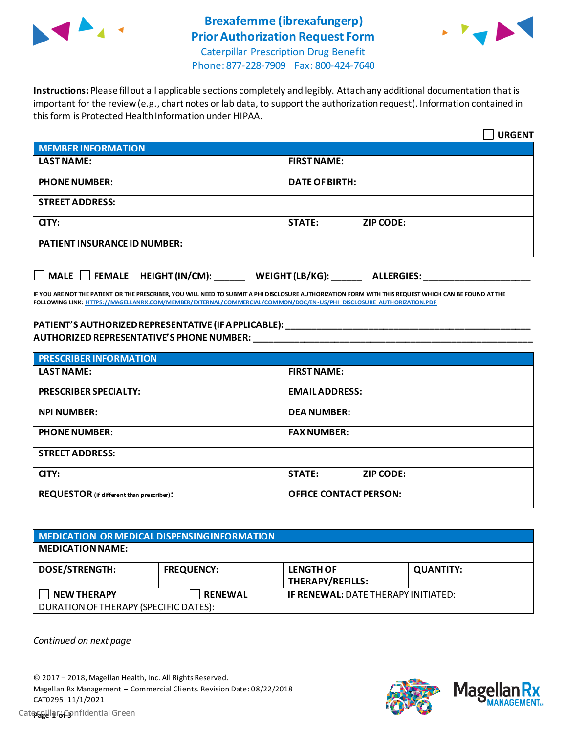

## **Brexafemme (ibrexafungerp) Prior Authorization Request Form**



Caterpillar Prescription Drug Benefit Phone: 877-228-7909 Fax: 800-424-7640

**Instructions:** Please fill out all applicable sections completely and legibly. Attach any additional documentation that is important for the review (e.g., chart notes or lab data, to support the authorization request). Information contained in this form is Protected Health Information under HIPAA.

|                                                                                   | <b>URGENT</b>                     |  |  |
|-----------------------------------------------------------------------------------|-----------------------------------|--|--|
| <b>MEMBER INFORMATION</b>                                                         |                                   |  |  |
| <b>LAST NAME:</b>                                                                 | <b>FIRST NAME:</b>                |  |  |
| <b>PHONE NUMBER:</b>                                                              | <b>DATE OF BIRTH:</b>             |  |  |
| <b>STREET ADDRESS:</b>                                                            |                                   |  |  |
| CITY:                                                                             | <b>STATE:</b><br><b>ZIP CODE:</b> |  |  |
| <b>PATIENT INSURANCE ID NUMBER:</b>                                               |                                   |  |  |
| $\Box$ MALE $\Box$ FEMALE HEIGHT (IN/CM):<br>WEIGHT (LB/KG):<br><b>ALLERGIES:</b> |                                   |  |  |

**IF YOU ARE NOT THE PATIENT OR THE PRESCRIBER, YOU WILL NEED TO SUBMIT A PHI DISCLOSURE AUTHORIZATION FORM WITH THIS REQUEST WHICH CAN BE FOUND AT THE FOLLOWING LINK[: HTTPS://MAGELLANRX.COM/MEMBER/EXTERNAL/COMMERCIAL/COMMON/DOC/EN-US/PHI\\_DISCLOSURE\\_AUTHORIZATION.PDF](https://magellanrx.com/member/external/commercial/common/doc/en-us/PHI_Disclosure_Authorization.pdf)**

#### **PATIENT'S AUTHORIZED REPRESENTATIVE (IF APPLICABLE): \_\_\_\_\_\_\_\_\_\_\_\_\_\_\_\_\_\_\_\_\_\_\_\_\_\_\_\_\_\_\_\_\_\_\_\_\_\_\_\_\_\_\_\_\_\_\_\_ AUTHORIZED REPRESENTATIVE'S PHONE NUMBER: \_\_\_\_\_\_\_\_\_\_\_\_\_\_\_\_\_\_\_\_\_\_\_\_\_\_\_\_\_\_\_\_\_\_\_\_\_\_\_\_\_\_\_\_\_\_\_\_\_\_\_\_\_\_\_**

| <b>PRESCRIBER INFORMATION</b>             |                               |  |
|-------------------------------------------|-------------------------------|--|
| <b>LAST NAME:</b>                         | <b>FIRST NAME:</b>            |  |
| <b>PRESCRIBER SPECIALTY:</b>              | <b>EMAIL ADDRESS:</b>         |  |
| <b>NPI NUMBER:</b>                        | <b>DEA NUMBER:</b>            |  |
| <b>PHONE NUMBER:</b>                      | <b>FAX NUMBER:</b>            |  |
| <b>STREET ADDRESS:</b>                    |                               |  |
| CITY:                                     | <b>STATE:</b><br>ZIP CODE:    |  |
| REQUESTOR (if different than prescriber): | <b>OFFICE CONTACT PERSON:</b> |  |

| MEDICATION OR MEDICAL DISPENSING INFORMATION |                   |                                            |                  |  |  |
|----------------------------------------------|-------------------|--------------------------------------------|------------------|--|--|
| <b>MEDICATION NAME:</b>                      |                   |                                            |                  |  |  |
| <b>DOSE/STRENGTH:</b>                        | <b>FREQUENCY:</b> | <b>LENGTH OF</b><br>THERAPY/REFILLS:       | <b>QUANTITY:</b> |  |  |
| <b>NEW THERAPY</b>                           | <b>RENEWAL</b>    | <b>IF RENEWAL: DATE THERAPY INITIATED:</b> |                  |  |  |
| DURATION OF THERAPY (SPECIFIC DATES):        |                   |                                            |                  |  |  |

*Continued on next page*



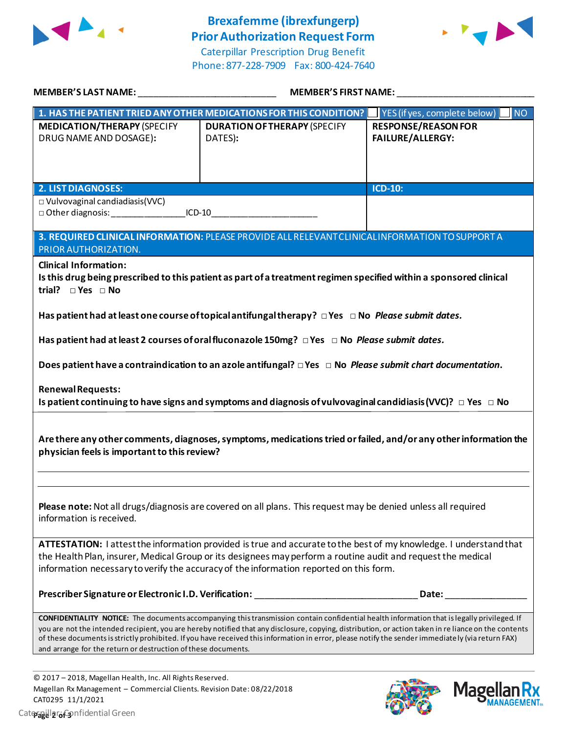

## **Brexafemme (ibrexfungerp) Prior Authorization Request Form**

Caterpillar Prescription Drug Benefit Phone: 877-228-7909 Fax: 800-424-7640



|                                                                                                                                                                                                                                                                                                                              | <b>MEMBER'S FIRST NAME:</b>                                                                                                                                                                                                                                                                                                                                                                                                                                    |                                                                                                      |  |  |
|------------------------------------------------------------------------------------------------------------------------------------------------------------------------------------------------------------------------------------------------------------------------------------------------------------------------------|----------------------------------------------------------------------------------------------------------------------------------------------------------------------------------------------------------------------------------------------------------------------------------------------------------------------------------------------------------------------------------------------------------------------------------------------------------------|------------------------------------------------------------------------------------------------------|--|--|
|                                                                                                                                                                                                                                                                                                                              |                                                                                                                                                                                                                                                                                                                                                                                                                                                                | 1. HAS THE PATIENT TRIED ANY OTHER MEDICATIONS FOR THIS CONDITION? YES (if yes, complete below) I NO |  |  |
| <b>MEDICATION/THERAPY (SPECIFY</b><br>DRUG NAME AND DOSAGE):                                                                                                                                                                                                                                                                 | <b>DURATION OF THERAPY (SPECIFY</b><br>DATES):                                                                                                                                                                                                                                                                                                                                                                                                                 | <b>RESPONSE/REASON FOR</b><br><b>FAILURE/ALLERGY:</b>                                                |  |  |
| <b>2. LIST DIAGNOSES:</b>                                                                                                                                                                                                                                                                                                    |                                                                                                                                                                                                                                                                                                                                                                                                                                                                | <b>ICD-10:</b>                                                                                       |  |  |
| $\Box$ Vulvovaginal candiadiasis(VVC)<br>□ Other diagnosis: ___________________ICD-10___________________________________                                                                                                                                                                                                     |                                                                                                                                                                                                                                                                                                                                                                                                                                                                |                                                                                                      |  |  |
| PRIOR AUTHORIZATION.<br><b>Clinical Information:</b>                                                                                                                                                                                                                                                                         | 3. REQUIRED CLINICAL INFORMATION: PLEASE PROVIDE ALL RELEVANT CLINICAL INFORMATION TO SUPPORT A                                                                                                                                                                                                                                                                                                                                                                |                                                                                                      |  |  |
| trial? $\square$ Yes $\square$ No                                                                                                                                                                                                                                                                                            | Is this drug being prescribed to this patient as part of a treatment regimen specified within a sponsored clinical                                                                                                                                                                                                                                                                                                                                             |                                                                                                      |  |  |
| Has patient had at least one course of topical antifungal therapy? $\Box$ Yes $\Box$ No Please submit dates.                                                                                                                                                                                                                 |                                                                                                                                                                                                                                                                                                                                                                                                                                                                |                                                                                                      |  |  |
|                                                                                                                                                                                                                                                                                                                              | Has patient had at least 2 courses of oral fluconazole 150mg? DYes DNo Please submit dates.                                                                                                                                                                                                                                                                                                                                                                    |                                                                                                      |  |  |
|                                                                                                                                                                                                                                                                                                                              | Does patient have a contraindication to an azole antifungal? $\Box$ Yes $\Box$ No <i>Please submit chart documentation</i> .                                                                                                                                                                                                                                                                                                                                   |                                                                                                      |  |  |
| <b>Renewal Requests:</b><br>Is patient continuing to have signs and symptoms and diagnosis of vulvovaginal candidiasis (VVC)? $\Box$ Yes $\Box$ No                                                                                                                                                                           |                                                                                                                                                                                                                                                                                                                                                                                                                                                                |                                                                                                      |  |  |
| Are there any other comments, diagnoses, symptoms, medications tried or failed, and/or any other information the<br>physician feels is important to this review?                                                                                                                                                             |                                                                                                                                                                                                                                                                                                                                                                                                                                                                |                                                                                                      |  |  |
|                                                                                                                                                                                                                                                                                                                              |                                                                                                                                                                                                                                                                                                                                                                                                                                                                |                                                                                                      |  |  |
| Please note: Not all drugs/diagnosis are covered on all plans. This request may be denied unless all required<br>information is received.                                                                                                                                                                                    |                                                                                                                                                                                                                                                                                                                                                                                                                                                                |                                                                                                      |  |  |
| ATTESTATION: I attest the information provided is true and accurate to the best of my knowledge. I understand that<br>the Health Plan, insurer, Medical Group or its designees may perform a routine audit and request the medical<br>information necessary to verify the accuracy of the information reported on this form. |                                                                                                                                                                                                                                                                                                                                                                                                                                                                |                                                                                                      |  |  |
|                                                                                                                                                                                                                                                                                                                              | Prescriber Signature or Electronic I.D. Verification: National Control of the Second Seconds of Prescribe Second                                                                                                                                                                                                                                                                                                                                               | Date:                                                                                                |  |  |
| and arrange for the return or destruction of these documents.                                                                                                                                                                                                                                                                | <b>CONFIDENTIALITY NOTICE:</b> The documents accompanying this transmission contain confidential health information that is legally privileged. If<br>you are not the intended recipient, you are hereby notified that any disclosure, copying, distribution, or action taken in re liance on the contents<br>of these documents is strictly prohibited. If you have received this information in error, please notify the sender immediately (via return FAX) |                                                                                                      |  |  |

© 2017 – 2018, Magellan Health, Inc. All Rights Reserved. Magellan Rx Management – Commercial Clients. Revision Date: 08/22/2018 CAT0295 11/1/2021 Caterpillar: Confidential Green **Page 2 of 3**